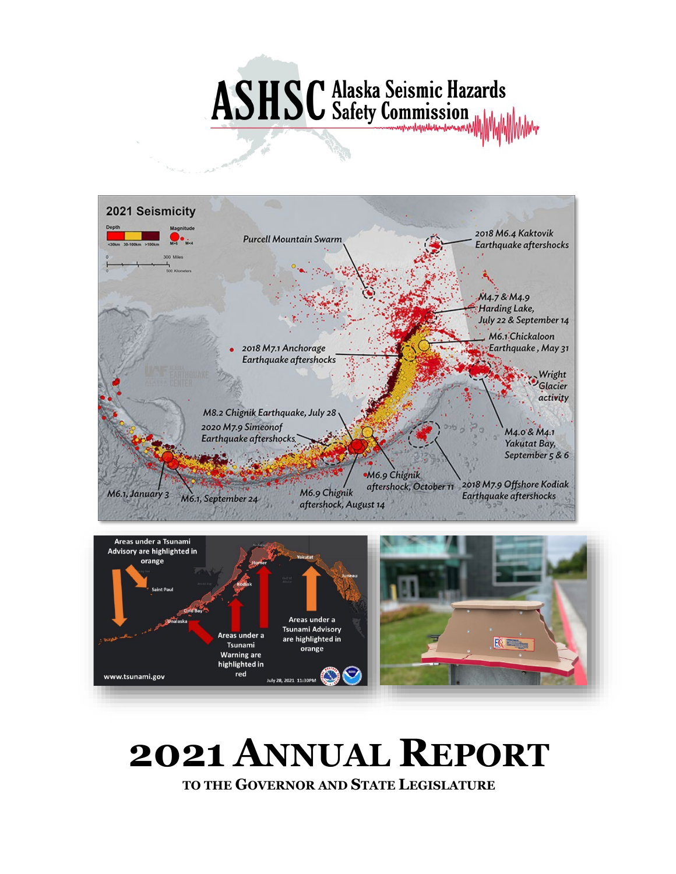# **ASHSC** Alaska Seismic Hazards





# **2021 ANNUAL REPORT TO THE GOVERNOR AND STATE LEGISLATURE**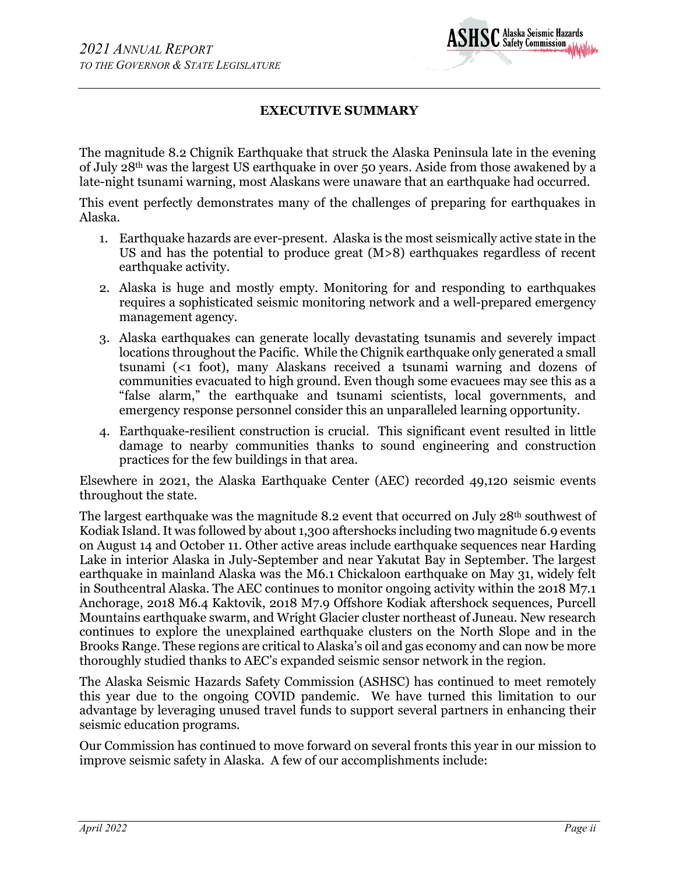

# **EXECUTIVE SUMMARY**

The magnitude 8.2 Chignik Earthquake that struck the Alaska Peninsula late in the evening of July 28th was the largest US earthquake in over 50 years. Aside from those awakened by a late-night tsunami warning, most Alaskans were unaware that an earthquake had occurred.

This event perfectly demonstrates many of the challenges of preparing for earthquakes in Alaska.

- 1. Earthquake hazards are ever-present. Alaska is the most seismically active state in the US and has the potential to produce great (M>8) earthquakes regardless of recent earthquake activity.
- 2. Alaska is huge and mostly empty. Monitoring for and responding to earthquakes requires a sophisticated seismic monitoring network and a well-prepared emergency management agency.
- 3. Alaska earthquakes can generate locally devastating tsunamis and severely impact locations throughout the Pacific. While the Chignik earthquake only generated a small tsunami (<1 foot), many Alaskans received a tsunami warning and dozens of communities evacuated to high ground. Even though some evacuees may see this as a "false alarm," the earthquake and tsunami scientists, local governments, and emergency response personnel consider this an unparalleled learning opportunity.
- 4. Earthquake-resilient construction is crucial. This significant event resulted in little damage to nearby communities thanks to sound engineering and construction practices for the few buildings in that area.

Elsewhere in 2021, the Alaska Earthquake Center (AEC) recorded 49,120 seismic events throughout the state.

The largest earthquake was the magnitude 8.2 event that occurred on July 28<sup>th</sup> southwest of Kodiak Island. It was followed by about 1,300 aftershocks including two magnitude 6.9 events on August 14 and October 11. Other active areas include earthquake sequences near Harding Lake in interior Alaska in July-September and near Yakutat Bay in September. The largest earthquake in mainland Alaska was the M6.1 Chickaloon earthquake on May 31, widely felt in Southcentral Alaska. The AEC continues to monitor ongoing activity within the 2018 M7.1 Anchorage, 2018 M6.4 Kaktovik, 2018 M7.9 Offshore Kodiak aftershock sequences, Purcell Mountains earthquake swarm, and Wright Glacier cluster northeast of Juneau. New research continues to explore the unexplained earthquake clusters on the North Slope and in the Brooks Range. These regions are critical to Alaska's oil and gas economy and can now be more thoroughly studied thanks to AEC's expanded seismic sensor network in the region.

The Alaska Seismic Hazards Safety Commission (ASHSC) has continued to meet remotely this year due to the ongoing COVID pandemic. We have turned this limitation to our advantage by leveraging unused travel funds to support several partners in enhancing their seismic education programs.

Our Commission has continued to move forward on several fronts this year in our mission to improve seismic safety in Alaska. A few of our accomplishments include: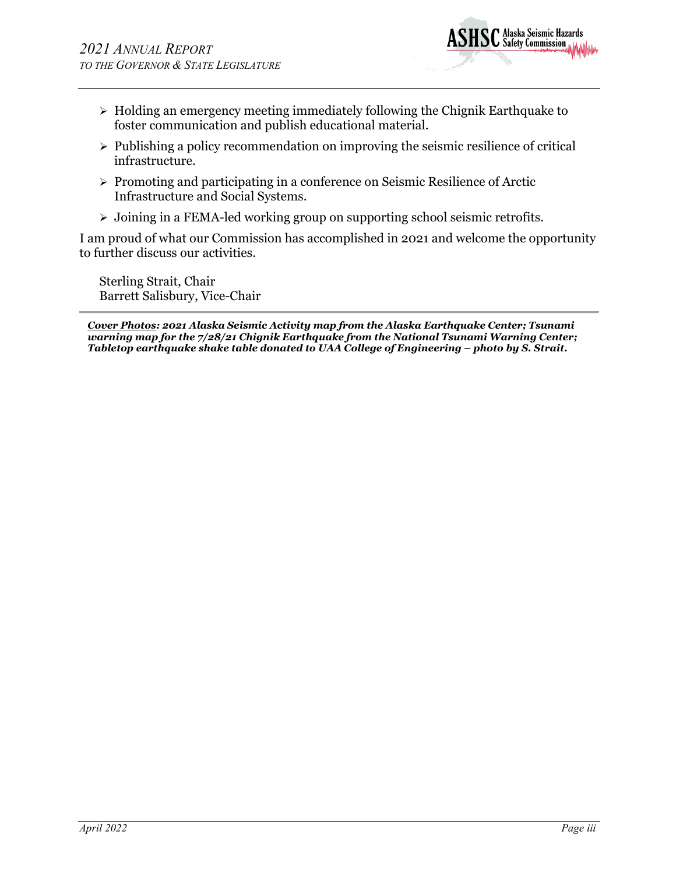

- $\triangleright$  Holding an emergency meeting immediately following the Chignik Earthquake to foster communication and publish educational material.
- $\triangleright$  Publishing a policy recommendation on improving the seismic resilience of critical infrastructure.
- $\triangleright$  Promoting and participating in a conference on Seismic Resilience of Arctic Infrastructure and Social Systems.
- Joining in a FEMA-led working group on supporting school seismic retrofits.

I am proud of what our Commission has accomplished in 2021 and welcome the opportunity to further discuss our activities.

Sterling Strait, Chair Barrett Salisbury, Vice-Chair

*Cover Photos: 2021 Alaska Seismic Activity map from the Alaska Earthquake Center; Tsunami warning map for the 7/28/21 Chignik Earthquake from the National Tsunami Warning Center; Tabletop earthquake shake table donated to UAA College of Engineering – photo by S. Strait.*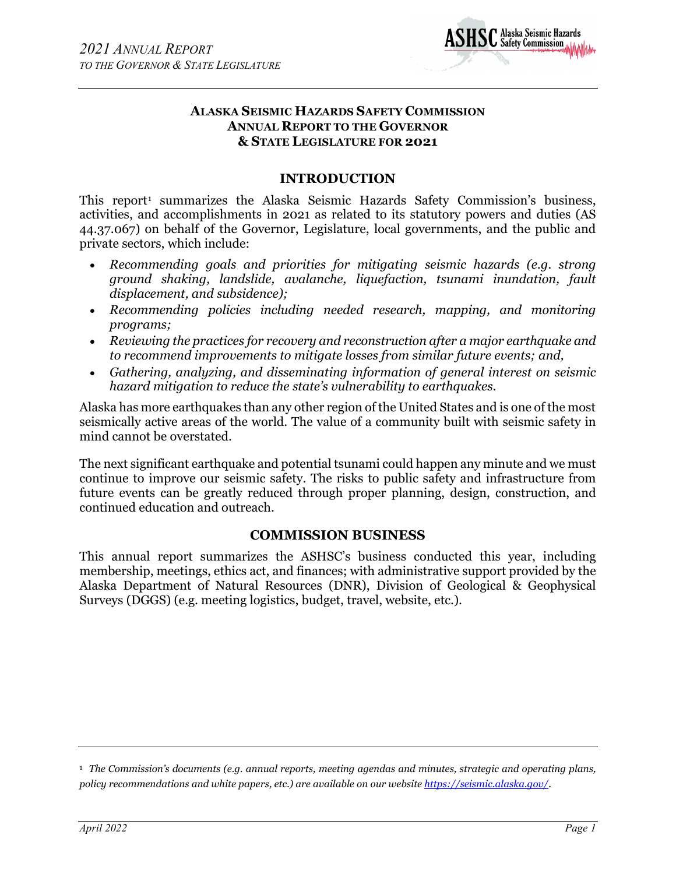

# **ALASKA SEISMIC HAZARDS SAFETY COMMISSION ANNUAL REPORT TO THE GOVERNOR & STATE LEGISLATURE FOR 2021**

# **INTRODUCTION**

This report<sup>[1](#page-3-0)</sup> summarizes the Alaska Seismic Hazards Safety Commission's business, activities, and accomplishments in 2021 as related to its statutory powers and duties (AS 44.37.067) on behalf of the Governor, Legislature, local governments, and the public and private sectors, which include:

- *Recommending goals and priorities for mitigating seismic hazards (e.g. strong ground shaking, landslide, avalanche, liquefaction, tsunami inundation, fault displacement, and subsidence);*
- *Recommending policies including needed research, mapping, and monitoring programs;*
- *Reviewing the practices for recovery and reconstruction after a major earthquake and to recommend improvements to mitigate losses from similar future events; and,*
- *Gathering, analyzing, and disseminating information of general interest on seismic hazard mitigation to reduce the state's vulnerability to earthquakes.*

Alaska has more earthquakes than any other region of the United States and is one of the most seismically active areas of the world. The value of a community built with seismic safety in mind cannot be overstated.

The next significant earthquake and potential tsunami could happen any minute and we must continue to improve our seismic safety. The risks to public safety and infrastructure from future events can be greatly reduced through proper planning, design, construction, and continued education and outreach.

# **COMMISSION BUSINESS**

This annual report summarizes the ASHSC's business conducted this year, including membership, meetings, ethics act, and finances; with administrative support provided by the Alaska Department of Natural Resources (DNR), Division of Geological & Geophysical Surveys (DGGS) (e.g. meeting logistics, budget, travel, website, etc.).

<span id="page-3-0"></span><sup>1</sup> *The Commission's documents (e.g. annual reports, meeting agendas and minutes, strategic and operating plans, policy recommendations and white papers, etc.) are available on our website <https://seismic.alaska.gov/>*.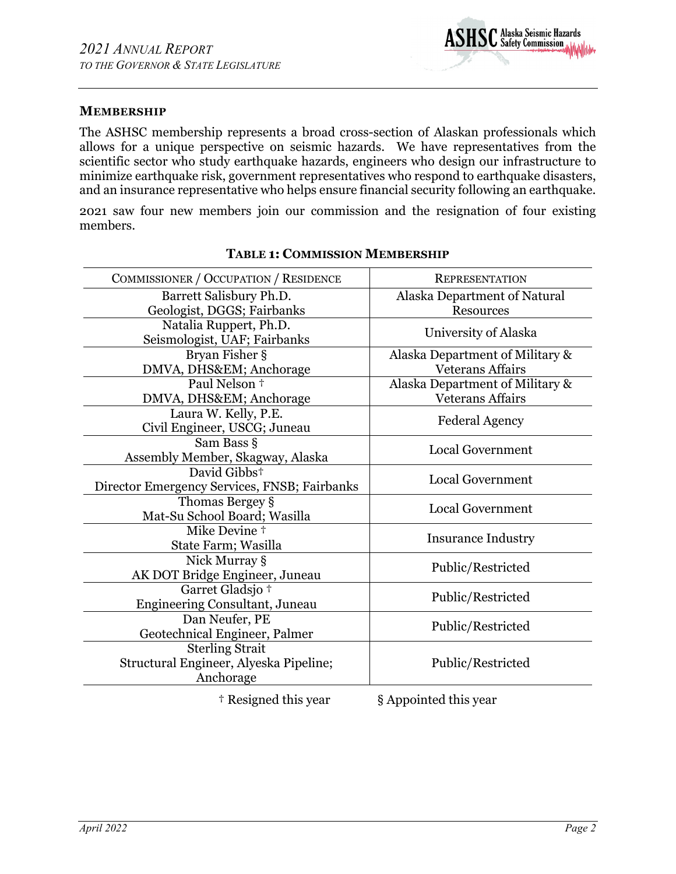# **MEMBERSHIP**

The ASHSC membership represents a broad cross-section of Alaskan professionals which allows for a unique perspective on seismic hazards. We have representatives from the scientific sector who study earthquake hazards, engineers who design our infrastructure to minimize earthquake risk, government representatives who respond to earthquake disasters, and an insurance representative who helps ensure financial security following an earthquake.

2021 saw four new members join our commission and the resignation of four existing members.

| COMMISSIONER / OCCUPATION / RESIDENCE                                         | <b>REPRESENTATION</b>                            |
|-------------------------------------------------------------------------------|--------------------------------------------------|
| Barrett Salisbury Ph.D.<br>Geologist, DGGS; Fairbanks                         | Alaska Department of Natural<br><b>Resources</b> |
| Natalia Ruppert, Ph.D.<br>Seismologist, UAF; Fairbanks                        | University of Alaska                             |
| Bryan Fisher §                                                                | Alaska Department of Military &                  |
| DMVA, DHS&EM Anchorage                                                        | <b>Veterans Affairs</b>                          |
| Paul Nelson +                                                                 | Alaska Department of Military &                  |
| DMVA, DHS&EM Anchorage                                                        | <b>Veterans Affairs</b>                          |
| Laura W. Kelly, P.E.<br>Civil Engineer, USCG; Juneau                          | <b>Federal Agency</b>                            |
| Sam Bass §<br>Assembly Member, Skagway, Alaska                                | <b>Local Government</b>                          |
| David Gibbs <sup>+</sup><br>Director Emergency Services, FNSB; Fairbanks      | <b>Local Government</b>                          |
| Thomas Bergey §<br>Mat-Su School Board; Wasilla                               | <b>Local Government</b>                          |
| Mike Devine <sup>+</sup><br>State Farm; Wasilla                               | <b>Insurance Industry</b>                        |
| Nick Murray §<br>AK DOT Bridge Engineer, Juneau                               | Public/Restricted                                |
| Garret Gladsjo +<br>Engineering Consultant, Juneau                            | Public/Restricted                                |
| Dan Neufer, PE<br>Geotechnical Engineer, Palmer                               | Public/Restricted                                |
| <b>Sterling Strait</b><br>Structural Engineer, Alyeska Pipeline;<br>Anchorage | Public/Restricted                                |
|                                                                               |                                                  |

# **TABLE 1: COMMISSION MEMBERSHIP**

† Resigned this year § Appointed this year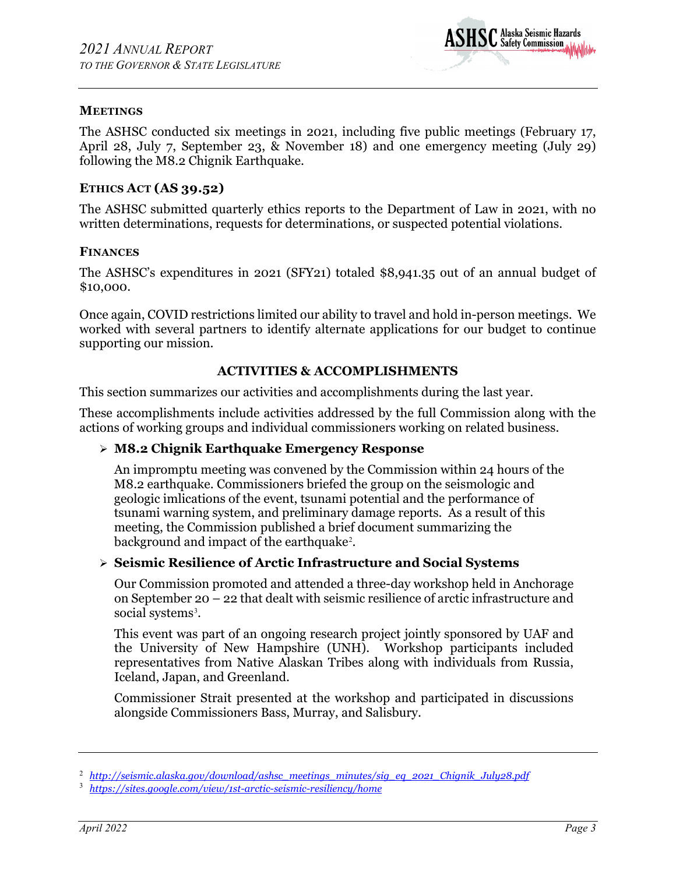

# **MEETINGS**

The ASHSC conducted six meetings in 2021, including five public meetings (February 17, April 28, July 7, September 23, & November 18) and one emergency meeting (July 29) following the M8.2 Chignik Earthquake.

# **ETHICS ACT (AS 39.52)**

The ASHSC submitted quarterly ethics reports to the Department of Law in 2021, with no written determinations, requests for determinations, or suspected potential violations.

#### **FINANCES**

The ASHSC's expenditures in 2021 (SFY21) totaled \$8,941.35 out of an annual budget of \$10,000.

Once again, COVID restrictions limited our ability to travel and hold in-person meetings. We worked with several partners to identify alternate applications for our budget to continue supporting our mission.

#### **ACTIVITIES & ACCOMPLISHMENTS**

This section summarizes our activities and accomplishments during the last year.

These accomplishments include activities addressed by the full Commission along with the actions of working groups and individual commissioners working on related business.

#### **M8.2 Chignik Earthquake Emergency Response**

An impromptu meeting was convened by the Commission within 24 hours of the M8.2 earthquake. Commissioners briefed the group on the seismologic and geologic imlications of the event, tsunami potential and the performance of tsunami warning system, and preliminary damage reports. As a result of this meeting, the Commission published a brief document summarizing the background and impact of the earthquake<sup>[2](#page-5-0)</sup>.

#### **Seismic Resilience of Arctic Infrastructure and Social Systems**

Our Commission promoted and attended a three-day workshop held in Anchorage on September 20 – 22 that dealt with seismic resilience of arctic infrastructure and social systems<sup>[3](#page-5-1)</sup>.

This event was part of an ongoing research project jointly sponsored by UAF and the University of New Hampshire (UNH). Workshop participants included representatives from Native Alaskan Tribes along with individuals from Russia, Iceland, Japan, and Greenland.

Commissioner Strait presented at the workshop and participated in discussions alongside Commissioners Bass, Murray, and Salisbury.

<span id="page-5-0"></span><sup>2</sup> *[http://seismic.alaska.gov/download/ashsc\\_meetings\\_minutes/sig\\_eq\\_2021\\_Chignik\\_July28.pdf](http://seismic.alaska.gov/download/ashsc_meetings_minutes/sig_eq_2021_Chignik_July28.pdf)*

<span id="page-5-1"></span><sup>3</sup> *<https://sites.google.com/view/1st-arctic-seismic-resiliency/home>*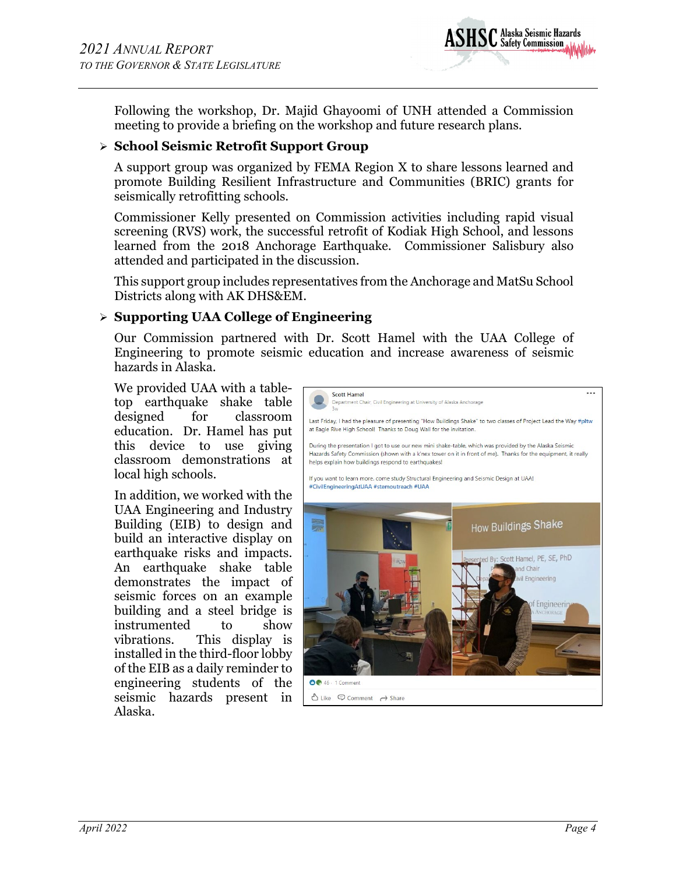

Following the workshop, Dr. Majid Ghayoomi of UNH attended a Commission meeting to provide a briefing on the workshop and future research plans.

# **School Seismic Retrofit Support Group**

A support group was organized by FEMA Region X to share lessons learned and promote Building Resilient Infrastructure and Communities (BRIC) grants for seismically retrofitting schools.

Commissioner Kelly presented on Commission activities including rapid visual screening (RVS) work, the successful retrofit of Kodiak High School, and lessons learned from the 2018 Anchorage Earthquake. Commissioner Salisbury also attended and participated in the discussion.

This support group includes representatives from the Anchorage and MatSu School Districts along with AK DHS&EM.

# **Supporting UAA College of Engineering**

Our Commission partnered with Dr. Scott Hamel with the UAA College of Engineering to promote seismic education and increase awareness of seismic hazards in Alaska.

We provided UAA with a tabletop earthquake shake table designed for classroom education. Dr. Hamel has put this device to use giving classroom demonstrations at local high schools.

In addition, we worked with the UAA Engineering and Industry Building (EIB) to design and build an interactive display on earthquake risks and impacts. An earthquake shake table demonstrates the impact of seismic forces on an example building and a steel bridge is instrumented to show vibrations. This display is installed in the third-floor lobby of the EIB as a daily reminder to engineering students of the seismic hazards present in Alaska.

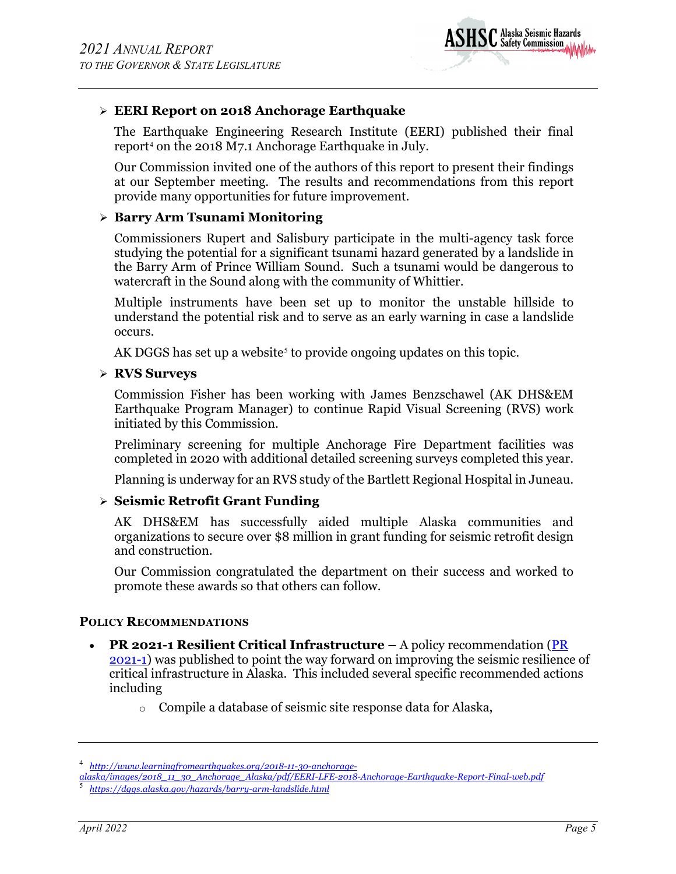

# **EERI Report on 2018 Anchorage Earthquake**

The Earthquake Engineering Research Institute (EERI) published their final report<sup>[4](#page-7-0)</sup> on the 2018 M7.1 Anchorage Earthquake in July.

Our Commission invited one of the authors of this report to present their findings at our September meeting. The results and recommendations from this report provide many opportunities for future improvement.

# **Barry Arm Tsunami Monitoring**

Commissioners Rupert and Salisbury participate in the multi-agency task force studying the potential for a significant tsunami hazard generated by a landslide in the Barry Arm of Prince William Sound. Such a tsunami would be dangerous to watercraft in the Sound along with the community of Whittier.

Multiple instruments have been set up to monitor the unstable hillside to understand the potential risk and to serve as an early warning in case a landslide occurs.

AK DGGS has set up a website<sup>[5](#page-7-1)</sup> to provide ongoing updates on this topic.

#### **RVS Surveys**

Commission Fisher has been working with James Benzschawel (AK DHS&EM Earthquake Program Manager) to continue Rapid Visual Screening (RVS) work initiated by this Commission.

Preliminary screening for multiple Anchorage Fire Department facilities was completed in 2020 with additional detailed screening surveys completed this year.

Planning is underway for an RVS study of the Bartlett Regional Hospital in Juneau.

# **Seismic Retrofit Grant Funding**

AK DHS&EM has successfully aided multiple Alaska communities and organizations to secure over \$8 million in grant funding for seismic retrofit design and construction.

Our Commission congratulated the department on their success and worked to promote these awards so that others can follow.

#### **POLICY RECOMMENDATIONS**

- **PR 2021-1 Resilient Critical Infrastructure –** A policy recommendation [\(PR](http://seismic.alaska.gov/download/ashsc_meetings_minutes/pr_2021-1_resilient_critical_infrastructure.pdf)  [2021-1\)](http://seismic.alaska.gov/download/ashsc_meetings_minutes/pr_2021-1_resilient_critical_infrastructure.pdf) was published to point the way forward on improving the seismic resilience of critical infrastructure in Alaska. This included several specific recommended actions including
	- o Compile a database of seismic site response data for Alaska,

<span id="page-7-0"></span><sup>4</sup> *[http://www.learningfromearthquakes.org/2018-11-30-anchorage-](http://www.learningfromearthquakes.org/2018-11-30-anchorage-alaska/images/2018_11_30_Anchorage_Alaska/pdf/EERI-LFE-2018-Anchorage-Earthquake-Report-Final-web.pdf)*

*[alaska/images/2018\\_11\\_30\\_Anchorage\\_Alaska/pdf/EERI-LFE-2018-Anchorage-Earthquake-Report-Final-web.pdf](http://www.learningfromearthquakes.org/2018-11-30-anchorage-alaska/images/2018_11_30_Anchorage_Alaska/pdf/EERI-LFE-2018-Anchorage-Earthquake-Report-Final-web.pdf)*

<span id="page-7-1"></span><sup>5</sup> *<https://dggs.alaska.gov/hazards/barry-arm-landslide.html>*